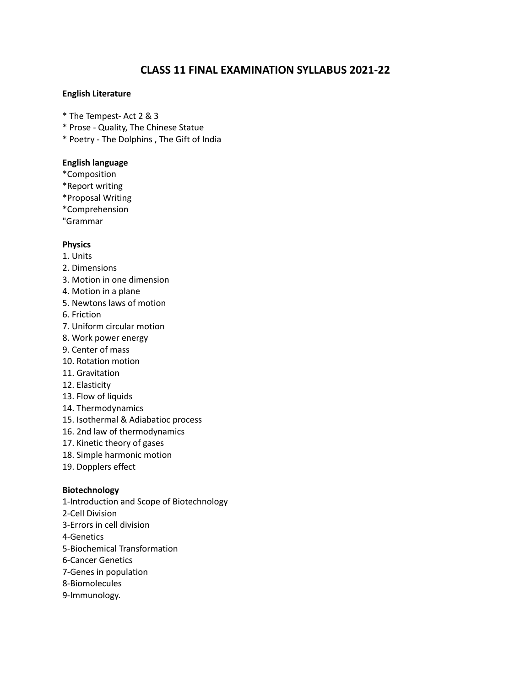# **CLASS 11 FINAL EXAMINATION SYLLABUS 2021-22**

### **English Literature**

- \* The Tempest- Act 2 & 3
- \* Prose Quality, The Chinese Statue
- \* Poetry The Dolphins , The Gift of India

### **English language**

- \*Composition
- \*Report writing
- \*Proposal Writing
- \*Comprehension
- "Grammar

### **Physics**

- 1. Units
- 2. Dimensions
- 3. Motion in one dimension
- 4. Motion in a plane
- 5. Newtons laws of motion
- 6. Friction
- 7. Uniform circular motion
- 8. Work power energy
- 9. Center of mass
- 10. Rotation motion
- 11. Gravitation
- 12. Elasticity
- 13. Flow of liquids
- 14. Thermodynamics
- 15. Isothermal & Adiabatioc process
- 16. 2nd law of thermodynamics
- 17. Kinetic theory of gases
- 18. Simple harmonic motion
- 19. Dopplers effect

### **Biotechnology**

1-Introduction and Scope of Biotechnology 2-Cell Division 3-Errors in cell division 4-Genetics 5-Biochemical Transformation 6-Cancer Genetics 7-Genes in population 8-Biomolecules 9-Immunology.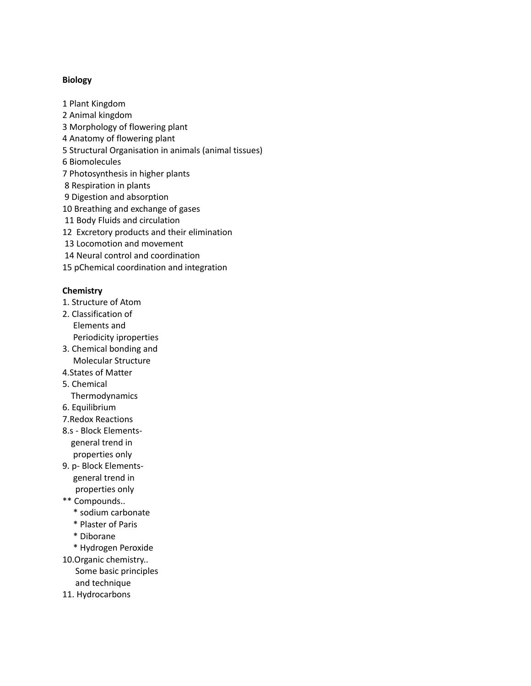### **Biology**

 Plant Kingdom Animal kingdom Morphology of flowering plant Anatomy of flowering plant Structural Organisation in animals (animal tissues) Biomolecules Photosynthesis in higher plants Respiration in plants Digestion and absorption Breathing and exchange of gases Body Fluids and circulation Excretory products and their elimination Locomotion and movement Neural control and coordination pChemical coordination and integration

### **Chemistry**

- 1. Structure of Atom
- 2. Classification of Elements and Periodicity iproperties
- 3. Chemical bonding and Molecular Structure
- 4.States of Matter
- 5. Chemical
- Thermodynamics
- 6. Equilibrium
- 7.Redox Reactions
- 8.s Block Elementsgeneral trend in properties only
- 9. p- Block Elementsgeneral trend in properties only
- \*\* Compounds..
	- \* sodium carbonate
	- \* Plaster of Paris
	- \* Diborane
	- \* Hydrogen Peroxide
- 10.Organic chemistry.. Some basic principles and technique
- 11. Hydrocarbons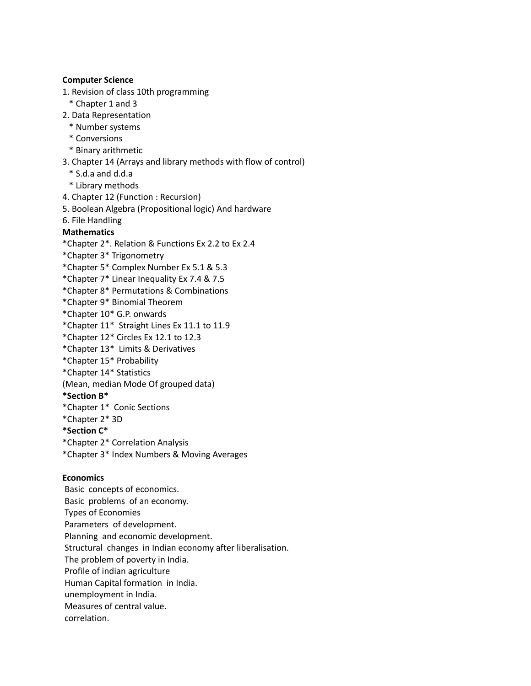### **Computer Science**

- 1. Revision of class 10th programming
	- \* Chapter 1 and 3
- 2. Data Representation
	- \* Number systems
	- \* Conversions
	- \* Binary arithmetic
- 3. Chapter 14 (Arrays and library methods with flow of control)
	- \* S.d.a and d.d.a
	- \* Library methods
- 4. Chapter 12 (Function : Recursion)
- 5. Boolean Algebra (Propositional logic) And hardware
- 6. File Handling

### **Mathematics**

- \*Chapter 2\*. Relation & Functions Ex 2.2 to Ex 2.4
- \*Chapter 3\* Trigonometry
- \*Chapter 5\* Complex Number Ex 5.1 & 5.3
- \*Chapter 7\* Linear Inequality Ex 7.4 & 7.5
- \*Chapter 8\* Permutations & Combinations
- \*Chapter 9\* Binomial Theorem
- \*Chapter 10\* G.P. onwards
- \*Chapter 11\* Straight Lines Ex 11.1 to 11.9
- \*Chapter 12\* Circles Ex 12.1 to 12.3
- \*Chapter 13\* Limits & Derivatives
- \*Chapter 15\* Probability
- \*Chapter 14\* Statistics
- (Mean, median Mode Of grouped data)

### **\*Section B\***

- \*Chapter 1\* Conic Sections
- \*Chapter 2\* 3D
- **\*Section C\***
- \*Chapter 2\* Correlation Analysis
- \*Chapter 3\* Index Numbers & Moving Averages

### **Economics**

Basic concepts of economics. Basic problems of an economy. Types of Economies Parameters of development. Planning and economic development. Structural changes in Indian economy after liberalisation. The problem of poverty in India. Profile of indian agriculture Human Capital formation in India. unemployment in India. Measures of central value. correlation.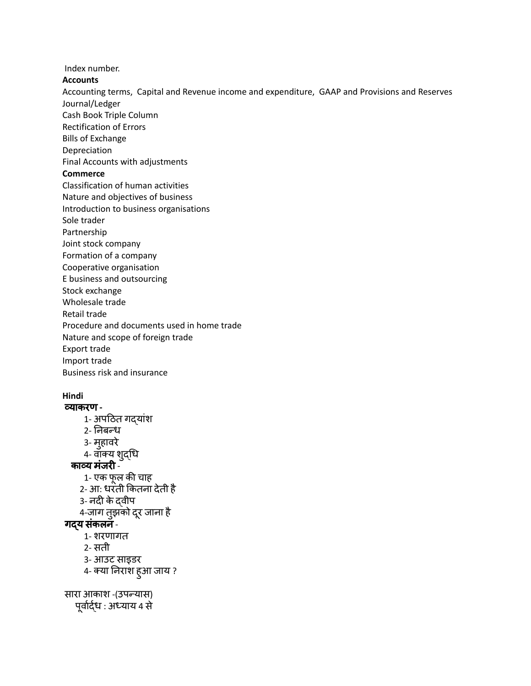Index number.

**Accounts**

Accounting terms, Capital and Revenue income and expenditure, GAAP and Provisions and Reserves Journal/Ledger

Cash Book Triple Column

Rectification of Errors

Bills of Exchange

Depreciation

Final Accounts with adjustments

## **Commerce**

Classification of human activities

Nature and objectives of business

Introduction to business organisations

Sole trader

Partnership

Joint stock company

Formation of a company

Cooperative organisation

E business and outsourcing

Stock exchange

Wholesale trade

Retail trade

Procedure and documents used in home trade

Nature and scope of foreign trade

Export trade

Import trade

Business risk and insurance

# **Hindi**

व्याकरण **-** 1- अपठित गदयांश 2- नि बन्ध 3- महुावरे 4- वाक्य शद्ुधि काव्य मंजरी -1- एक फूल की चाह 2- आ: धरती कि तना देती है 3- नदी केद्वीप 4-जाग तुझको दूर जाना है गदय संकलन -1- शरणागत 2- सती 3- आउट साइडर 4- क्या निराश हुआ जाय ? सारा आकाश -(उपन्यास) पूर्वार्द्ध : अध्याय 4 से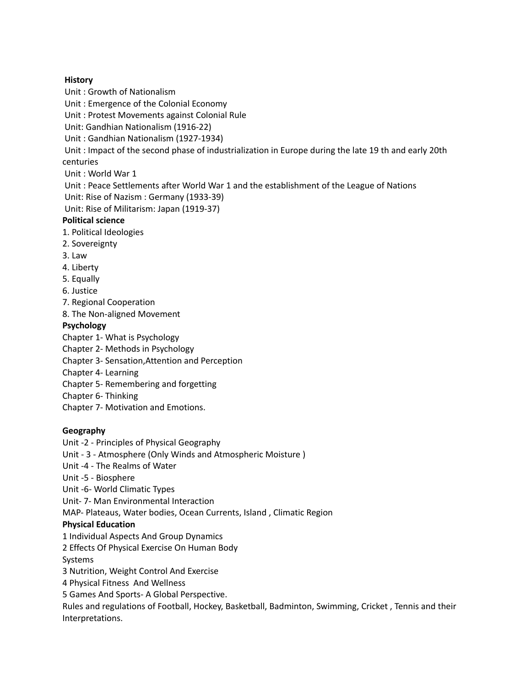### **History**

Unit : Growth of Nationalism

Unit : Emergence of the Colonial Economy

Unit : Protest Movements against Colonial Rule

Unit: Gandhian Nationalism (1916-22)

Unit : Gandhian Nationalism (1927-1934)

Unit : Impact of the second phase of industrialization in Europe during the late 19 th and early 20th centuries

Unit : World War 1

Unit : Peace Settlements after World War 1 and the establishment of the League of Nations Unit: Rise of Nazism : Germany (1933-39)

Unit: Rise of Militarism: Japan (1919-37)

### **Political science**

- 1. Political Ideologies
- 2. Sovereignty
- 3. Law
- 4. Liberty
- 5. Equally
- 6. Justice
- 7. Regional Cooperation
- 8. The Non-aligned Movement

### **Psychology**

Chapter 1- What is Psychology

- Chapter 2- Methods in Psychology
- Chapter 3- Sensation,Attention and Perception
- Chapter 4- Learning
- Chapter 5- Remembering and forgetting
- Chapter 6- Thinking
- Chapter 7- Motivation and Emotions.

### **Geography**

Unit -2 - Principles of Physical Geography

Unit - 3 - Atmosphere (Only Winds and Atmospheric Moisture )

- Unit -4 The Realms of Water
- Unit -5 Biosphere
- Unit -6- World Climatic Types
- Unit- 7- Man Environmental Interaction

MAP- Plateaus, Water bodies, Ocean Currents, Island , Climatic Region

### **Physical Education**

1 Individual Aspects And Group Dynamics

2 Effects Of Physical Exercise On Human Body

Systems

3 Nutrition, Weight Control And Exercise

4 Physical Fitness And Wellness

5 Games And Sports- A Global Perspective.

Rules and regulations of Football, Hockey, Basketball, Badminton, Swimming, Cricket , Tennis and their Interpretations.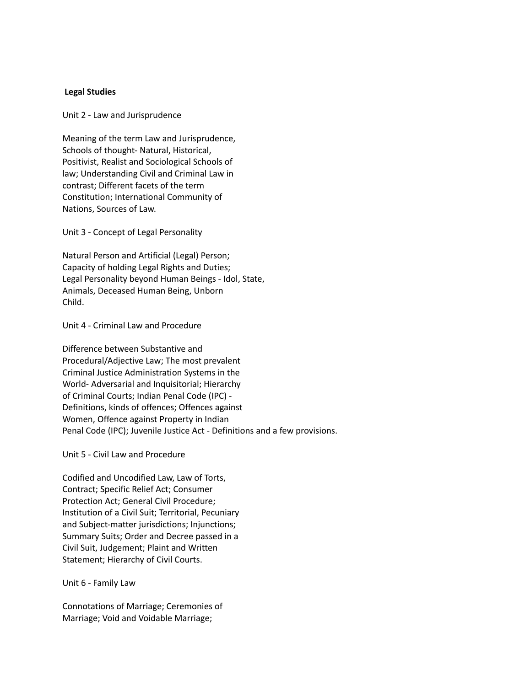#### **Legal Studies**

Unit 2 - Law and Jurisprudence

Meaning of the term Law and Jurisprudence, Schools of thought- Natural, Historical, Positivist, Realist and Sociological Schools of law; Understanding Civil and Criminal Law in contrast; Different facets of the term Constitution; International Community of Nations, Sources of Law.

Unit 3 - Concept of Legal Personality

Natural Person and Artificial (Legal) Person; Capacity of holding Legal Rights and Duties; Legal Personality beyond Human Beings - Idol, State, Animals, Deceased Human Being, Unborn Child.

#### Unit 4 - Criminal Law and Procedure

Difference between Substantive and Procedural/Adjective Law; The most prevalent Criminal Justice Administration Systems in the World- Adversarial and Inquisitorial; Hierarchy of Criminal Courts; Indian Penal Code (IPC) - Definitions, kinds of offences; Offences against Women, Offence against Property in Indian Penal Code (IPC); Juvenile Justice Act - Definitions and a few provisions.

Unit 5 - Civil Law and Procedure

Codified and Uncodified Law, Law of Torts, Contract; Specific Relief Act; Consumer Protection Act; General Civil Procedure; Institution of a Civil Suit; Territorial, Pecuniary and Subject-matter jurisdictions; Injunctions; Summary Suits; Order and Decree passed in a Civil Suit, Judgement; Plaint and Written Statement; Hierarchy of Civil Courts.

#### Unit 6 - Family Law

Connotations of Marriage; Ceremonies of Marriage; Void and Voidable Marriage;